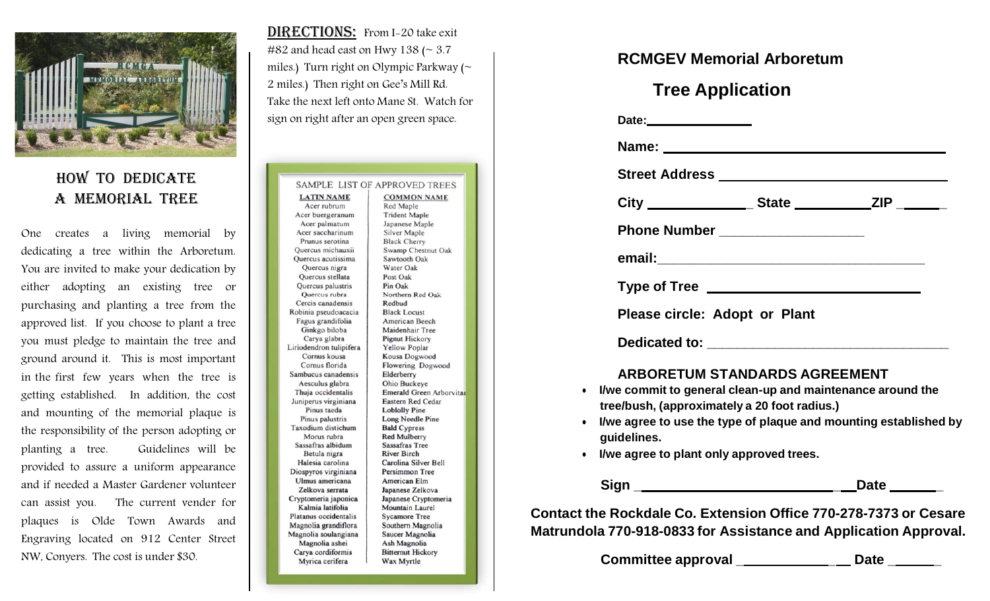

#### HOW TO DEDICATE A MEMORIAL TREE

One creates a living memorial by dedicating a tree within the Arboretum. You are invited to make your dedication by either adopting an existing tree or purchasing and planting a tree from the approved list. If you choose to plant a tree you must pledge to maintain the tree and ground around it. This is most important in the first few years when the tree is getting established. In addition, the cost and mounting of the memorial plaque is the responsibility of the person adopting or planting a tree. Guidelines will be provided to assure a uniform appearance and if needed a Master Gardener volunteer can assist you. The current vender for plaques is Olde Town Awards and Engraving located on 912 Center Street NW, Conyers. The cost is under \$30.

DIRECTIONS: From I-20 take exit #82 and head east on Hwy 138 ( $\sim$  3.7 miles.) Turn right on Olympic Parkway (~ 2 miles.) Then right on Gee's Mill Rd. Take the next left onto Mane St. Watch forsign on right after an open green space.

|                                  | <b>SAMPLE LIST OF APPROVED TREES</b> |
|----------------------------------|--------------------------------------|
| <b>LATIN NAME</b><br>Acer rubrum | <b>COMMON NAME</b>                   |
|                                  | Red Maple                            |
| Acer buergeranum                 | <b>Trident Maple</b>                 |
| Acer palmatum                    | Japanese Maple                       |
| Acer saccharinum                 | <b>Silver Maple</b>                  |
| Prunus serotina                  | <b>Black Cherry</b>                  |
| Ouercus michauxii                | Swamp Chestnut Oak                   |
| Quercus acutissima               | Sawtooth Oak                         |
| Quercus nigra                    | Water Oak                            |
| Ouercus stellata                 | Post Oak                             |
| Quercus palustris                | Pin Oak                              |
| Quercus rubra                    | Northern Red Oak                     |
| Cercis canadensis                | Redbud                               |
| Robinia pseudoacacia             | <b>Black Locust</b>                  |
| Fagus grandifolia                | American Beech                       |
| Ginkgo biloba                    | Maidenhair Tree                      |
| Carya glabra                     | <b>Pignut Hickory</b>                |
| Liriodendron tulipifera          | Yellow Poplar                        |
| Cornus kousa                     | <b>Kousa Dogwood</b>                 |
| Cornus florida                   | Flowering Dogwood                    |
| Sambucus canadensis              | Elderberry                           |
| Aesculus glabra                  | Ohio Buckeye                         |
| Thuja occidentalis               | Emerald Green Arborvit               |
| Juniperus virginiana             | <b>Eastern Red Cedar</b>             |
| Pinus taeda                      | <b>Loblolly Pine</b>                 |
| Pinus palustris                  | Long Needle Pine                     |
| Taxodium distichum               | <b>Bald Cypress</b>                  |
| Morus rubra                      | <b>Red Mulberry</b>                  |
| Sassafras albidum                | <b>Sassafras Tree</b>                |
| Betula nigra                     | <b>River Birch</b>                   |
| Halesia carolina                 | Carolina Silver Bell                 |
| Diospyros virginiana             | Persimmon Tree                       |
| Ulmus americana                  | American Elm                         |
| Zelkova serrata                  | Japanese Zelkova                     |
| Cryptomeria japonica             | Japanese Cryptomeria                 |
| Kalmia latifolia                 | Mountain Laurel                      |
| Platanus occidentalis            | <b>Sycamore Tree</b>                 |
| Magnolia grandiflora             | Southern Magnolia                    |
| Magnolia soulangiana             | Saucer Magnolia                      |
| Magnolia ashei                   | Ash Magnolia                         |
| Carya cordiformis                | <b>Bitternut Hickory</b>             |
| Myrica cerifera                  | Wax Myrtle                           |
|                                  |                                      |

#### **RCMGEV Memorial Arboretum**

# **Tree Application**

|           | Date: ___________________                                                       |
|-----------|---------------------------------------------------------------------------------|
|           |                                                                                 |
|           |                                                                                 |
|           | City _______________________State ___________________ZIP _________              |
|           | Phone Number _______________________                                            |
|           |                                                                                 |
|           |                                                                                 |
|           | Please circle: Adopt or Plant                                                   |
|           |                                                                                 |
|           | <b>ARBORETUM STANDARDS AGREEMENT</b>                                            |
| $\bullet$ | I/we commit to general clean-up and maintenance around the                      |
|           | tree/bush, (approximately a 20 foot radius.)                                    |
| $\bullet$ | I/we agree to use the type of plaque and mounting established by<br>guidelines. |
|           | a liwe agree to plant only approved trees                                       |

agree to plant only approved trees.

**Sign \_ \_ Date \_**

**Contact the Rockdale Co. Extension Office 770-278-7373 or CesareMatrundola 770-918-0833 for Assistance and Application Approval.**

Committee approval \_\_\_\_\_\_\_\_\_\_\_\_\_\_\_\_\_ Date \_\_\_\_\_\_\_

C